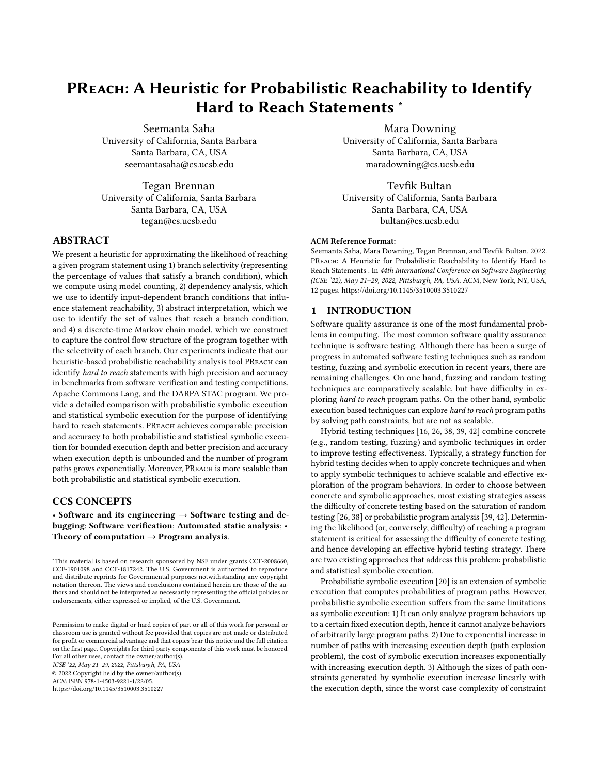# PReach: A Heuristic for Probabilistic Reachability to Identify Hard to Reach Statements <sup>∗</sup>

Seemanta Saha University of California, Santa Barbara Santa Barbara, CA, USA seemantasaha@cs.ucsb.edu

Tegan Brennan University of California, Santa Barbara Santa Barbara, CA, USA tegan@cs.ucsb.edu

# ABSTRACT

We present a heuristic for approximating the likelihood of reaching a given program statement using 1) branch selectivity (representing the percentage of values that satisfy a branch condition), which we compute using model counting, 2) dependency analysis, which we use to identify input-dependent branch conditions that influence statement reachability, 3) abstract interpretation, which we use to identify the set of values that reach a branch condition, and 4) a discrete-time Markov chain model, which we construct to capture the control flow structure of the program together with the selectivity of each branch. Our experiments indicate that our heuristic-based probabilistic reachability analysis tool PReach can identify hard to reach statements with high precision and accuracy in benchmarks from software verification and testing competitions, Apache Commons Lang, and the DARPA STAC program. We provide a detailed comparison with probabilistic symbolic execution and statistical symbolic execution for the purpose of identifying hard to reach statements. PREACH achieves comparable precision and accuracy to both probabilistic and statistical symbolic execution for bounded execution depth and better precision and accuracy when execution depth is unbounded and the number of program paths grows exponentially. Moreover, PREACH is more scalable than both probabilistic and statistical symbolic execution.

## CCS CONCEPTS

• Software and its engineering  $\rightarrow$  Software testing and debugging; Software verification; Automated static analysis; • Theory of computation  $\rightarrow$  Program analysis.

ICSE '22, May 21–29, 2022, Pittsburgh, PA, USA

© 2022 Copyright held by the owner/author(s). ACM ISBN 978-1-4503-9221-1/22/05.

https://doi.org/10.1145/3510003.3510227

Mara Downing University of California, Santa Barbara Santa Barbara, CA, USA maradowning@cs.ucsb.edu

Tevfik Bultan University of California, Santa Barbara Santa Barbara, CA, USA bultan@cs.ucsb.edu

#### ACM Reference Format:

Seemanta Saha, Mara Downing, Tegan Brennan, and Tevfik Bultan. 2022. PREACH: A Heuristic for Probabilistic Reachability to Identify Hard to Reach Statements . In 44th International Conference on Software Engineering (ICSE '22), May 21–29, 2022, Pittsburgh, PA, USA. ACM, New York, NY, USA, 12 pages. https://doi.org/10.1145/3510003.3510227

## 1 INTRODUCTION

Software quality assurance is one of the most fundamental problems in computing. The most common software quality assurance technique is software testing. Although there has been a surge of progress in automated software testing techniques such as random testing, fuzzing and symbolic execution in recent years, there are remaining challenges. On one hand, fuzzing and random testing techniques are comparatively scalable, but have difficulty in exploring hard to reach program paths. On the other hand, symbolic execution based techniques can explore hard to reach program paths by solving path constraints, but are not as scalable.

Hybrid testing techniques [16, 26, 38, 39, 42] combine concrete (e.g., random testing, fuzzing) and symbolic techniques in order to improve testing effectiveness. Typically, a strategy function for hybrid testing decides when to apply concrete techniques and when to apply symbolic techniques to achieve scalable and effective exploration of the program behaviors. In order to choose between concrete and symbolic approaches, most existing strategies assess the difficulty of concrete testing based on the saturation of random testing [26, 38] or probabilistic program analysis [39, 42]. Determining the likelihood (or, conversely, difficulty) of reaching a program statement is critical for assessing the difficulty of concrete testing, and hence developing an effective hybrid testing strategy. There are two existing approaches that address this problem: probabilistic and statistical symbolic execution.

Probabilistic symbolic execution [20] is an extension of symbolic execution that computes probabilities of program paths. However, probabilistic symbolic execution suffers from the same limitations as symbolic execution: 1) It can only analyze program behaviors up to a certain fixed execution depth, hence it cannot analyze behaviors of arbitrarily large program paths. 2) Due to exponential increase in number of paths with increasing execution depth (path explosion problem), the cost of symbolic execution increases exponentially with increasing execution depth. 3) Although the sizes of path constraints generated by symbolic execution increase linearly with the execution depth, since the worst case complexity of constraint

<sup>∗</sup>This material is based on research sponsored by NSF under grants CCF-2008660, CCF-1901098 and CCF-1817242. The U.S. Government is authorized to reproduce and distribute reprints for Governmental purposes notwithstanding any copyright notation thereon. The views and conclusions contained herein are those of the authors and should not be interpreted as necessarily representing the official policies or endorsements, either expressed or implied, of the U.S. Government.

Permission to make digital or hard copies of part or all of this work for personal or classroom use is granted without fee provided that copies are not made or distributed for profit or commercial advantage and that copies bear this notice and the full citation on the first page. Copyrights for third-party components of this work must be honored. For all other uses, contact the owner/author(s).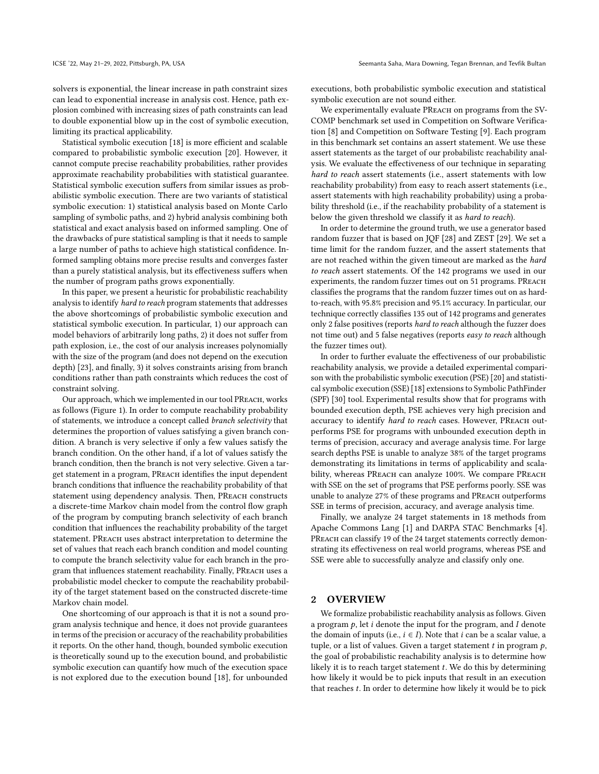solvers is exponential, the linear increase in path constraint sizes can lead to exponential increase in analysis cost. Hence, path explosion combined with increasing sizes of path constraints can lead to double exponential blow up in the cost of symbolic execution, limiting its practical applicability.

Statistical symbolic execution [18] is more efficient and scalable compared to probabilistic symbolic execution [20]. However, it cannot compute precise reachability probabilities, rather provides approximate reachability probabilities with statistical guarantee. Statistical symbolic execution suffers from similar issues as probabilistic symbolic execution. There are two variants of statistical symbolic execution: 1) statistical analysis based on Monte Carlo sampling of symbolic paths, and 2) hybrid analysis combining both statistical and exact analysis based on informed sampling. One of the drawbacks of pure statistical sampling is that it needs to sample a large number of paths to achieve high statistical confidence. Informed sampling obtains more precise results and converges faster than a purely statistical analysis, but its effectiveness suffers when the number of program paths grows exponentially.

In this paper, we present a heuristic for probabilistic reachability analysis to identify hard to reach program statements that addresses the above shortcomings of probabilistic symbolic execution and statistical symbolic execution. In particular, 1) our approach can model behaviors of arbitrarily long paths, 2) it does not suffer from path explosion, i.e., the cost of our analysis increases polynomially with the size of the program (and does not depend on the execution depth) [23], and finally, 3) it solves constraints arising from branch conditions rather than path constraints which reduces the cost of constraint solving.

Our approach, which we implemented in our tool PReach, works as follows (Figure 1). In order to compute reachability probability of statements, we introduce a concept called branch selectivity that determines the proportion of values satisfying a given branch condition. A branch is very selective if only a few values satisfy the branch condition. On the other hand, if a lot of values satisfy the branch condition, then the branch is not very selective. Given a target statement in a program, PReach identifies the input dependent branch conditions that influence the reachability probability of that statement using dependency analysis. Then, PREACH constructs a discrete-time Markov chain model from the control flow graph of the program by computing branch selectivity of each branch condition that influences the reachability probability of the target statement. PReach uses abstract interpretation to determine the set of values that reach each branch condition and model counting to compute the branch selectivity value for each branch in the program that influences statement reachability. Finally, PReach uses a probabilistic model checker to compute the reachability probability of the target statement based on the constructed discrete-time Markov chain model.

One shortcoming of our approach is that it is not a sound program analysis technique and hence, it does not provide guarantees in terms of the precision or accuracy of the reachability probabilities it reports. On the other hand, though, bounded symbolic execution is theoretically sound up to the execution bound, and probabilistic symbolic execution can quantify how much of the execution space is not explored due to the execution bound [18], for unbounded

executions, both probabilistic symbolic execution and statistical symbolic execution are not sound either.

We experimentally evaluate PREACH on programs from the SV-COMP benchmark set used in Competition on Software Verification [8] and Competition on Software Testing [9]. Each program in this benchmark set contains an assert statement. We use these assert statements as the target of our probabilistc reachability analysis. We evaluate the effectiveness of our technique in separating hard to reach assert statements (i.e., assert statements with low reachability probability) from easy to reach assert statements (i.e., assert statements with high reachability probability) using a probability threshold (i.e., if the reachability probability of a statement is below the given threshold we classify it as hard to reach).

In order to determine the ground truth, we use a generator based random fuzzer that is based on JQF [28] and ZEST [29]. We set a time limit for the random fuzzer, and the assert statements that are not reached within the given timeout are marked as the hard to reach assert statements. Of the 142 programs we used in our experiments, the random fuzzer times out on 51 programs. PReach classifies the programs that the random fuzzer times out on as hardto-reach, with 95.8% precision and 95.1% accuracy. In particular, our technique correctly classifies 135 out of 142 programs and generates only 2 false positives (reports hard to reach although the fuzzer does not time out) and 5 false negatives (reports easy to reach although the fuzzer times out).

In order to further evaluate the effectiveness of our probabilistic reachability analysis, we provide a detailed experimental comparison with the probabilistic symbolic execution (PSE) [20] and statistical symbolic execution (SSE) [18] extensions to Symbolic PathFinder (SPF) [30] tool. Experimental results show that for programs with bounded execution depth, PSE achieves very high precision and accuracy to identify hard to reach cases. However, PREACH outperforms PSE for programs with unbounded execution depth in terms of precision, accuracy and average analysis time. For large search depths PSE is unable to analyze 38% of the target programs demonstrating its limitations in terms of applicability and scalability, whereas PREACH can analyze 100%. We compare PREACH with SSE on the set of programs that PSE performs poorly. SSE was unable to analyze 27% of these programs and PREACH outperforms SSE in terms of precision, accuracy, and average analysis time.

Finally, we analyze 24 target statements in 18 methods from Apache Commons Lang [1] and DARPA STAC Benchmarks [4]. PREACH can classify 19 of the 24 target statements correctly demonstrating its effectiveness on real world programs, whereas PSE and SSE were able to successfully analyze and classify only one.

## 2 OVERVIEW

We formalize probabilistic reachability analysis as follows. Given a program  $p$ , let  $i$  denote the input for the program, and  $I$  denote the domain of inputs (i.e.,  $i \in I$ ). Note that  $i$  can be a scalar value, a tuple, or a list of values. Given a target statement  $t$  in program  $p$ , the goal of probabilistic reachability analysis is to determine how likely it is to reach target statement  $t$ . We do this by determining how likely it would be to pick inputs that result in an execution that reaches  $t$ . In order to determine how likely it would be to pick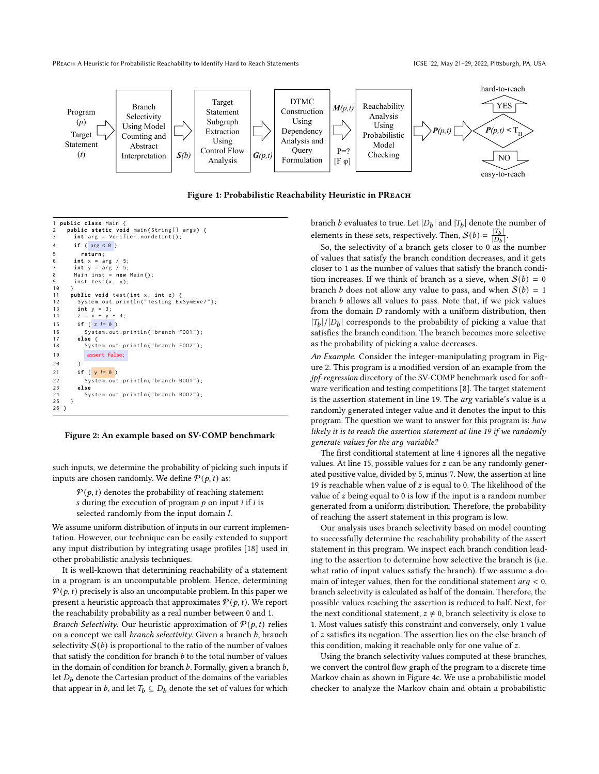PREACH: A Heuristic for Probabilistic Reachability to Identify Hard to Reach Statements ICSE '22, May 21-29, 2022, Pittsburgh, PA, USA



Figure 1: Probabilistic Reachability Heuristic in PReach

```
1 public class Main {
    public static void main (String[] args) {
      int arg = Verifier.nondetInt();
4 if ( arg < 0 )
5 return ;
6 int x = arg / 5;
7 int y = arg / 5;
8 Main inst = new Main ();
9 inst.test(x, y);
10 }
11 public void test(int x, int z) {<br>12 System.out.println("Testing Ex
12 System.out.println ("Testing ExSymExe7");<br>13 int v = 3:
13 int y = 3;
14 z = x - y - 4;
15 if ( z != 0 )
16 System.out.println("branch F001");
17 else {
          System.out.println ("branch FOO2");
19 assert false;
20 }
21 if ( y != 0 )
22 System . out . println ( " branch BOO1 " );
23 else
     System.out.println("branch BOO2");
25 }
26 }
```
#### Figure 2: An example based on SV-COMP benchmark

such inputs, we determine the probability of picking such inputs if inputs are chosen randomly. We define  $P(p, t)$  as:

 $P(p, t)$  denotes the probability of reaching statement s during the execution of program  $p$  on input  $i$  if  $i$  is selected randomly from the input domain  $I$ .

We assume uniform distribution of inputs in our current implementation. However, our technique can be easily extended to support any input distribution by integrating usage profiles [18] used in other probabilistic analysis techniques.

It is well-known that determining reachability of a statement in a program is an uncomputable problem. Hence, determining  $P(p, t)$  precisely is also an uncomputable problem. In this paper we present a heuristic approach that approximates  $P(p, t)$ . We report the reachability probability as a real number between 0 and 1. Branch Selectivity. Our heuristic approximation of  $P(p, t)$  relies on a concept we call *branch selectivity*. Given a branch *b*, branch selectivity  $S(b)$  is proportional to the ratio of the number of values that satisfy the condition for branch  $b$  to the total number of values in the domain of condition for branch  $b$ . Formally, given a branch  $b$ , let  $D_b$  denote the Cartesian product of the domains of the variables that appear in b, and let  $T_b \subseteq D_b$  denote the set of values for which

branch *b* evaluates to true. Let  $|D_b|$  and  $|T_b|$  denote the number of elements in these sets, respectively. Then,  $S(b) = \frac{|T_b|}{|D_b|}$  $|D_b|$ .

So, the selectivity of a branch gets closer to 0 as the number of values that satisfy the branch condition decreases, and it gets closer to 1 as the number of values that satisfy the branch condition increases. If we think of branch as a sieve, when  $S(b) = 0$ branch *b* does not allow any value to pass, and when  $S(b) = 1$ branch  $b$  allows all values to pass. Note that, if we pick values from the domain  $D$  randomly with a uniform distribution, then  $|T_b|/|D_b|$  corresponds to the probability of picking a value that satisfies the branch condition. The branch becomes more selective as the probability of picking a value decreases.

An Example. Consider the integer-manipulating program in Figure 2. This program is a modified version of an example from the jpf-regression directory of the SV-COMP benchmark used for software verification and testing competitions [8]. The target statement is the assertion statement in line 19. The arg variable's value is a randomly generated integer value and it denotes the input to this program. The question we want to answer for this program is: how likely it is to reach the assertion statement at line 19 if we randomly generate values for the arg variable?

The first conditional statement at line 4 ignores all the negative values. At line 15, possible values for  $z$  can be any randomly generated positive value, divided by 5, minus 7. Now, the assertion at line 19 is reachable when value of  $z$  is equal to 0. The likelihood of the value of  $z$  being equal to 0 is low if the input is a random number generated from a uniform distribution. Therefore, the probability of reaching the assert statement in this program is low.

Our analysis uses branch selectivity based on model counting to successfully determine the reachability probability of the assert statement in this program. We inspect each branch condition leading to the assertion to determine how selective the branch is (i.e. what ratio of input values satisfy the branch). If we assume a domain of integer values, then for the conditional statement  $arg < 0$ , branch selectivity is calculated as half of the domain. Therefore, the possible values reaching the assertion is reduced to half. Next, for the next conditional statement,  $z \neq 0$ , branch selectivity is close to 1. Most values satisfy this constraint and conversely, only 1 value of  $z$  satisfies its negation. The assertion lies on the else branch of this condition, making it reachable only for one value of  $z$ .

Using the branch selectivity values computed at these branches, we convert the control flow graph of the program to a discrete time Markov chain as shown in Figure 4c. We use a probabilistic model checker to analyze the Markov chain and obtain a probabilistic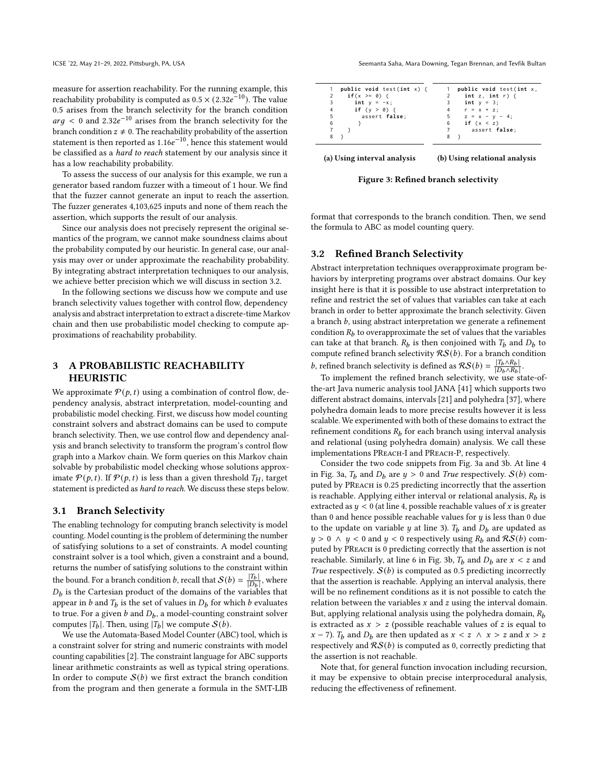measure for assertion reachability. For the running example, this reachability probability is computed as  $0.5 \times (2.32e^{-10})$ . The value 0.5 arises from the branch selectivity for the branch condition  $arg < 0$  and 2.32 $e^{-10}$  arises from the branch selectivity for the branch condition  $z \neq 0$ . The reachability probability of the assertion statement is then reported as  $1.16e^{-10}$ , hence this statement would be classified as a hard to reach statement by our analysis since it has a low reachability probability.

To assess the success of our analysis for this example, we run a generator based random fuzzer with a timeout of 1 hour. We find that the fuzzer cannot generate an input to reach the assertion. The fuzzer generates 4,103,625 inputs and none of them reach the assertion, which supports the result of our analysis.

Since our analysis does not precisely represent the original semantics of the program, we cannot make soundness claims about the probability computed by our heuristic. In general case, our analysis may over or under approximate the reachability probability. By integrating abstract interpretation techniques to our analysis, we achieve better precision which we will discuss in section 3.2.

In the following sections we discuss how we compute and use branch selectivity values together with control flow, dependency analysis and abstract interpretation to extract a discrete-time Markov chain and then use probabilistic model checking to compute approximations of reachability probability.

# 3 A PROBABILISTIC REACHABILITY HEURISTIC

We approximate  $P(p, t)$  using a combination of control flow, dependency analysis, abstract interpretation, model-counting and probabilistic model checking. First, we discuss how model counting constraint solvers and abstract domains can be used to compute branch selectivity. Then, we use control flow and dependency analysis and branch selectivity to transform the program's control flow graph into a Markov chain. We form queries on this Markov chain solvable by probabilistic model checking whose solutions approximate  $P(p, t)$ . If  $P(p, t)$  is less than a given threshold  $T_H$ , target statement is predicted as hard to reach. We discuss these steps below.

## 3.1 Branch Selectivity

The enabling technology for computing branch selectivity is model counting. Model counting is the problem of determining the number of satisfying solutions to a set of constraints. A model counting constraint solver is a tool which, given a constraint and a bound, returns the number of satisfying solutions to the constraint within the bound. For a branch condition b, recall that  $\mathcal{S}(b) = \frac{|T_b|}{|D_b|}$  $\frac{|I_b|}{|D_b|}$ , where  $D_b$  is the Cartesian product of the domains of the variables that appear in b and  $T_b$  is the set of values in  $D_b$  for which b evaluates to true. For a given  $b$  and  $D_b$ , a model-counting constraint solver computes  $|T_b|$ . Then, using  $|T_b|$  we compute  $\mathcal{S}(b)$ .

We use the Automata-Based Model Counter (ABC) tool, which is a constraint solver for string and numeric constraints with model counting capabilities [2]. The constraint language for ABC supports linear arithmetic constraints as well as typical string operations. In order to compute  $S(b)$  we first extract the branch condition from the program and then generate a formula in the SMT-LIB

ICSE '22, May 21-29, 2022, Pittsburgh, PA, USA Seemanta Saha, Mara Downing, Tegan Brennan, and Tevfik Bultan

| public void test(int x,<br>int $z$ , int $r$ ) $\{$ |
|-----------------------------------------------------|
|                                                     |
|                                                     |
| int $y = 3$ ;                                       |
| $4$ $r = x + z$ ;                                   |
| $5 \t z = x - y - 4$ ;                              |
| if $(x < z)$                                        |
| assert false:                                       |
|                                                     |
|                                                     |

(a) Using interval analysis

(b) Using relational analysis

Figure 3: Refined branch selectivity

format that corresponds to the branch condition. Then, we send the formula to ABC as model counting query.

### 3.2 Refined Branch Selectivity

Abstract interpretation techniques overapproximate program behaviors by interpreting programs over abstract domains. Our key insight here is that it is possible to use abstract interpretation to refine and restrict the set of values that variables can take at each branch in order to better approximate the branch selectivity. Given a branch  $b$ , using abstract interpretation we generate a refinement condition  $R_b$  to overapproximate the set of values that the variables can take at that branch.  $R_b$  is then conjoined with  $T_b$  and  $D_b$  to compute refined branch selectivity  $RS(b)$ . For a branch condition b, refined branch selectivity is defined as  $RS(b) = \frac{|T_b \wedge R_b|}{|D_b \wedge R_b|}$  $|D_b \wedge R_b|$ .

To implement the refined branch selectivity, we use state-ofthe-art Java numeric analysis tool JANA [41] which supports two different abstract domains, intervals [21] and polyhedra [37], where polyhedra domain leads to more precise results however it is less scalable. We experimented with both of these domains to extract the refinement conditions  $R_b$  for each branch using interval analysis and relational (using polyhedra domain) analysis. We call these implementations PReach-I and PReach-P, respectively.

Consider the two code snippets from Fig. 3a and 3b. At line 4 in Fig. 3a,  $T_b$  and  $D_b$  are  $y > 0$  and True respectively.  $S(b)$  computed by PReach is 0.25 predicting incorrectly that the assertion is reachable. Applying either interval or relational analysis,  $R_b$  is extracted as  $y < 0$  (at line 4, possible reachable values of x is greater than 0 and hence possible reachable values for  $y$  is less than 0 due to the update on variable *y* at line 3).  $T_b$  and  $D_b$  are updated as  $y > 0 \land y < 0$  and  $y < 0$  respectively using  $R_h$  and  $\mathcal{R}S(b)$  computed by PREACH is 0 predicting correctly that the assertion is not reachable. Similarly, at line 6 in Fig. 3b,  $T_b$  and  $D_b$  are  $x < z$  and True respectively.  $S(b)$  is computed as 0.5 predicting incorrectly that the assertion is reachable. Applying an interval analysis, there will be no refinement conditions as it is not possible to catch the relation between the variables  $x$  and  $z$  using the interval domain. But, applying relational analysis using the polyhedra domain,  $R_h$ is extracted as  $x > z$  (possible reachable values of z is equal to  $x - 7$ ).  $T_b$  and  $D_b$  are then updated as  $x < z \land x > z$  and  $x > z$ respectively and  $\mathcal{RS}(b)$  is computed as 0, correctly predicting that the assertion is not reachable.

Note that, for general function invocation including recursion, it may be expensive to obtain precise interprocedural analysis, reducing the effectiveness of refinement.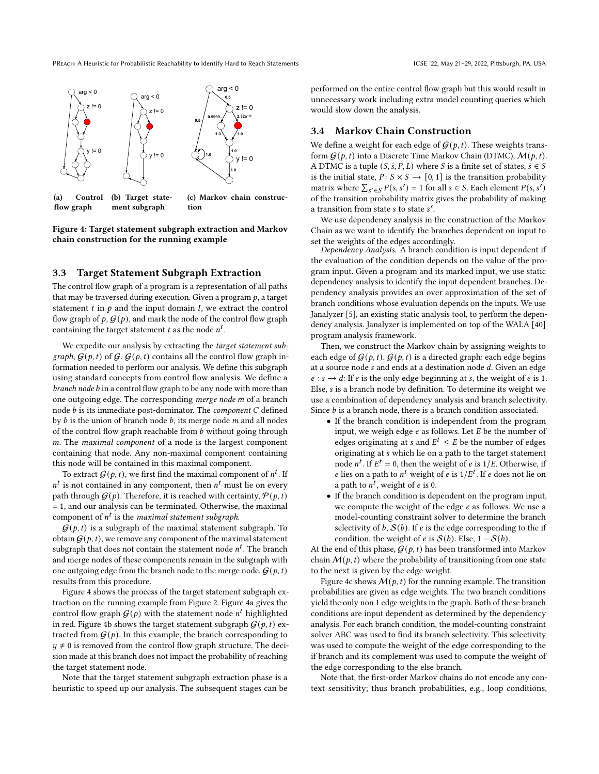

(a) Control flow graph (b) Target statement subgraph (c) Markov chain construction

Figure 4: Target statement subgraph extraction and Markov chain construction for the running example

#### 3.3 Target Statement Subgraph Extraction

The control flow graph of a program is a representation of all paths that may be traversed during execution. Given a program  $p$ , a target statement  $t$  in  $p$  and the input domain  $I$ , we extract the control flow graph of  $p$ ,  $G(p)$ , and mark the node of the control flow graph containing the target statement t as the node  $n^t$ .

We expedite our analysis by extracting the target statement subgraph,  $G(p, t)$  of  $G$ .  $G(p, t)$  contains all the control flow graph information needed to perform our analysis. We define this subgraph using standard concepts from control flow analysis. We define a  $branch node b$  in a control flow graph to be any node with more than one outgoing edge. The corresponding merge node m of a branch node  $b$  is its immediate post-dominator. The *component*  $C$  defined by  $b$  is the union of branch node  $b$ , its merge node  $m$  and all nodes of the control flow graph reachable from  $b$  without going through . The maximal component of a node is the largest component containing that node. Any non-maximal component containing this node will be contained in this maximal component.

To extract  $G(p, t)$ , we first find the maximal component of  $n<sup>t</sup>$ . If  $n^t$  is not contained in any component, then  $n^t$  must lie on every path through  $G(p)$ . Therefore, it is reached with certainty,  $P(p, t)$ = 1, and our analysis can be terminated. Otherwise, the maximal component of  $n^t$  is the *maximal statement subgraph*.

 $G(p, t)$  is a subgraph of the maximal statement subgraph. To obtain  $G(p, t)$ , we remove any component of the maximal statement subgraph that does not contain the statement node  $n<sup>t</sup>$ . The branch and merge nodes of these components remain in the subgraph with one outgoing edge from the branch node to the merge node.  $G(p, t)$ results from this procedure.

Figure 4 shows the process of the target statement subgraph extraction on the running example from Figure 2. Figure 4a gives the control flow graph  $\mathcal{G}(p)$  with the statement node  $n^t$  highlighted in red. Figure 4b shows the target statement subgraph  $G(p, t)$  extracted from  $G(p)$ . In this example, the branch corresponding to  $y \neq 0$  is removed from the control flow graph structure. The decision made at this branch does not impact the probability of reaching the target statement node.

Note that the target statement subgraph extraction phase is a heuristic to speed up our analysis. The subsequent stages can be performed on the entire control flow graph but this would result in unnecessary work including extra model counting queries which

#### 3.4 Markov Chain Construction

would slow down the analysis.

We define a weight for each edge of  $G(p, t)$ . These weights transform  $G(p, t)$  into a Discrete Time Markov Chain (DTMC),  $M(p, t)$ . A DTMC is a tuple  $(S, \bar{s}, P, L)$  where S is a finite set of states,  $\bar{s} \in S$ is the initial state,  $P: S \times S \rightarrow [0, 1]$  is the transition probability matrix where  $\sum_{s' \in S} P(s, s') = 1$  for all  $s \in S$ . Each element  $P(s, s')$ of the transition probability matrix gives the probability of making a transition from state  $s$  to state  $s'$ .

We use dependency analysis in the construction of the Markov Chain as we want to identify the branches dependent on input to set the weights of the edges accordingly.

Dependency Analysis. A branch condition is input dependent if the evaluation of the condition depends on the value of the program input. Given a program and its marked input, we use static dependency analysis to identify the input dependent branches. Dependency analysis provides an over approximation of the set of branch conditions whose evaluation depends on the inputs. We use Janalyzer [5], an existing static analysis tool, to perform the dependency analysis. Janalyzer is implemented on top of the WALA [40] program analysis framework.

Then, we construct the Markov chain by assigning weights to each edge of  $G(p, t)$ .  $G(p, t)$  is a directed graph: each edge begins at a source node  $s$  and ends at a destination node  $d$ . Given an edge  $e : s \rightarrow d$ : If e is the only edge beginning at s, the weight of e is 1. Else, *s* is a branch node by definition. To determine its weight we use a combination of dependency analysis and branch selectivity. Since  $b$  is a branch node, there is a branch condition associated.

- If the branch condition is independent from the program input, we weigh edge  $e$  as follows. Let  $E$  be the number of edges originating at s and  $E^t \leq E$  be the number of edges originating at which lie on a path to the target statement node  $n^t$ . If  $E^t = 0$ , then the weight of *e* is 1/*E*. Otherwise, if e lies on a path to  $n^t$  weight of e is  $1/E^t$ . If e does not lie on a path to  $\overline{n}^t$ , weight of *e* is 0.
- If the branch condition is dependent on the program input, we compute the weight of the edge  $e$  as follows. We use a model-counting constraint solver to determine the branch selectivity of  $b$ ,  $S(b)$ . If  $e$  is the edge corresponding to the if condition, the weight of *e* is  $S(b)$ . Else, 1 –  $S(b)$ .

At the end of this phase,  $G(p, t)$  has been transformed into Markov chain  $M(p, t)$  where the probability of transitioning from one state to the next is given by the edge weight.

Figure 4c shows  $M(p, t)$  for the running example. The transition probabilities are given as edge weights. The two branch conditions yield the only non 1 edge weights in the graph. Both of these branch conditions are input dependent as determined by the dependency analysis. For each branch condition, the model-counting constraint solver ABC was used to find its branch selectivity. This selectivity was used to compute the weight of the edge corresponding to the if branch and its complement was used to compute the weight of the edge corresponding to the else branch.

Note that, the first-order Markov chains do not encode any context sensitivity; thus branch probabilities, e.g., loop conditions,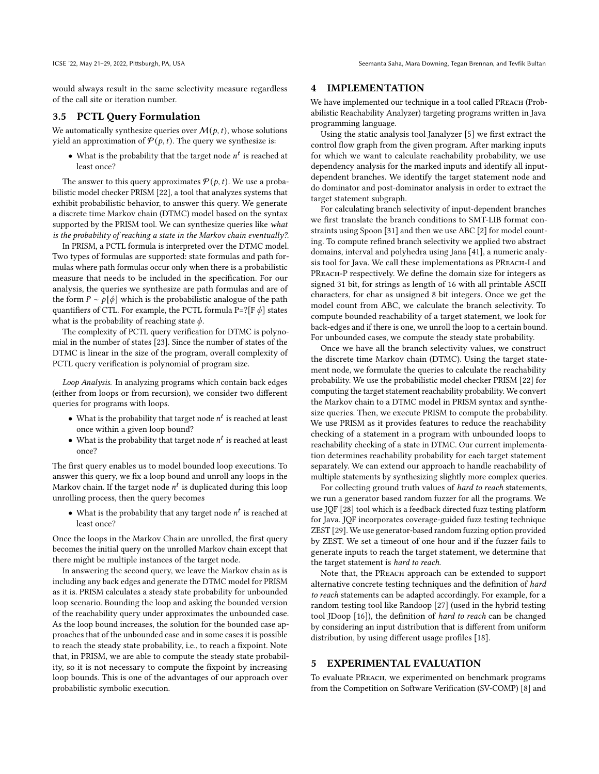would always result in the same selectivity measure regardless of the call site or iteration number.

### 3.5 PCTL Query Formulation

We automatically synthesize queries over  $M(p, t)$ , whose solutions yield an approximation of  $P(p, t)$ . The query we synthesize is:

• What is the probability that the target node  $n<sup>t</sup>$  is reached at least once?

The answer to this query approximates  $P(p, t)$ . We use a probabilistic model checker PRISM [22], a tool that analyzes systems that exhibit probabilistic behavior, to answer this query. We generate a discrete time Markov chain (DTMC) model based on the syntax supported by the PRISM tool. We can synthesize queries like what is the probability of reaching a state in the Markov chain eventually?.

In PRISM, a PCTL formula is interpreted over the DTMC model. Two types of formulas are supported: state formulas and path formulas where path formulas occur only when there is a probabilistic measure that needs to be included in the specification. For our analysis, the queries we synthesize are path formulas and are of the form  $P \sim p[\phi]$  which is the probabilistic analogue of the path quantifiers of CTL. For example, the PCTL formula  $P=$ ?[F $\phi$ ] states what is the probability of reaching state  $\phi$ .

The complexity of PCTL query verification for DTMC is polynomial in the number of states [23]. Since the number of states of the DTMC is linear in the size of the program, overall complexity of PCTL query verification is polynomial of program size.

Loop Analysis. In analyzing programs which contain back edges (either from loops or from recursion), we consider two different queries for programs with loops.

- $\bullet\,$  What is the probability that target node  $n^t$  is reached at least once within a given loop bound?
- What is the probability that target node  $n<sup>t</sup>$  is reached at least once?

The first query enables us to model bounded loop executions. To answer this query, we fix a loop bound and unroll any loops in the Markov chain. If the target node  $n^t$  is duplicated during this loop unrolling process, then the query becomes

• What is the probability that any target node  $n<sup>t</sup>$  is reached at least once?

Once the loops in the Markov Chain are unrolled, the first query becomes the initial query on the unrolled Markov chain except that there might be multiple instances of the target node.

In answering the second query, we leave the Markov chain as is including any back edges and generate the DTMC model for PRISM as it is. PRISM calculates a steady state probability for unbounded loop scenario. Bounding the loop and asking the bounded version of the reachability query under approximates the unbounded case. As the loop bound increases, the solution for the bounded case approaches that of the unbounded case and in some cases it is possible to reach the steady state probability, i.e., to reach a fixpoint. Note that, in PRISM, we are able to compute the steady state probability, so it is not necessary to compute the fixpoint by increasing loop bounds. This is one of the advantages of our approach over probabilistic symbolic execution.

## 4 IMPLEMENTATION

We have implemented our technique in a tool called PREACH (Probabilistic Reachability Analyzer) targeting programs written in Java programming language.

Using the static analysis tool Janalyzer [5] we first extract the control flow graph from the given program. After marking inputs for which we want to calculate reachability probability, we use dependency analysis for the marked inputs and identify all inputdependent branches. We identify the target statement node and do dominator and post-dominator analysis in order to extract the target statement subgraph.

For calculating branch selectivity of input-dependent branches we first translate the branch conditions to SMT-LIB format constraints using Spoon [31] and then we use ABC [2] for model counting. To compute refined branch selectivity we applied two abstract domains, interval and polyhedra using Jana [41], a numeric analysis tool for Java. We call these implementations as PReach-I and PREACH-P respectively. We define the domain size for integers as signed 31 bit, for strings as length of 16 with all printable ASCII characters, for char as unsigned 8 bit integers. Once we get the model count from ABC, we calculate the branch selectivity. To compute bounded reachability of a target statement, we look for back-edges and if there is one, we unroll the loop to a certain bound. For unbounded cases, we compute the steady state probability.

Once we have all the branch selectivity values, we construct the discrete time Markov chain (DTMC). Using the target statement node, we formulate the queries to calculate the reachability probability. We use the probabilistic model checker PRISM [22] for computing the target statement reachability probability. We convert the Markov chain to a DTMC model in PRISM syntax and synthesize queries. Then, we execute PRISM to compute the probability. We use PRISM as it provides features to reduce the reachability checking of a statement in a program with unbounded loops to reachability checking of a state in DTMC. Our current implementation determines reachability probability for each target statement separately. We can extend our approach to handle reachability of multiple statements by synthesizing slightly more complex queries.

For collecting ground truth values of hard to reach statements, we run a generator based random fuzzer for all the programs. We use JQF [28] tool which is a feedback directed fuzz testing platform for Java. JQF incorporates coverage-guided fuzz testing technique ZEST [29]. We use generator-based random fuzzing option provided by ZEST. We set a timeout of one hour and if the fuzzer fails to generate inputs to reach the target statement, we determine that the target statement is hard to reach.

Note that, the PREACH approach can be extended to support alternative concrete testing techniques and the definition of hard to reach statements can be adapted accordingly. For example, for a random testing tool like Randoop [27] (used in the hybrid testing tool JDoop [16]), the definition of hard to reach can be changed by considering an input distribution that is different from uniform distribution, by using different usage profiles [18].

## 5 EXPERIMENTAL EVALUATION

To evaluate PReach, we experimented on benchmark programs from the Competition on Software Verification (SV-COMP) [8] and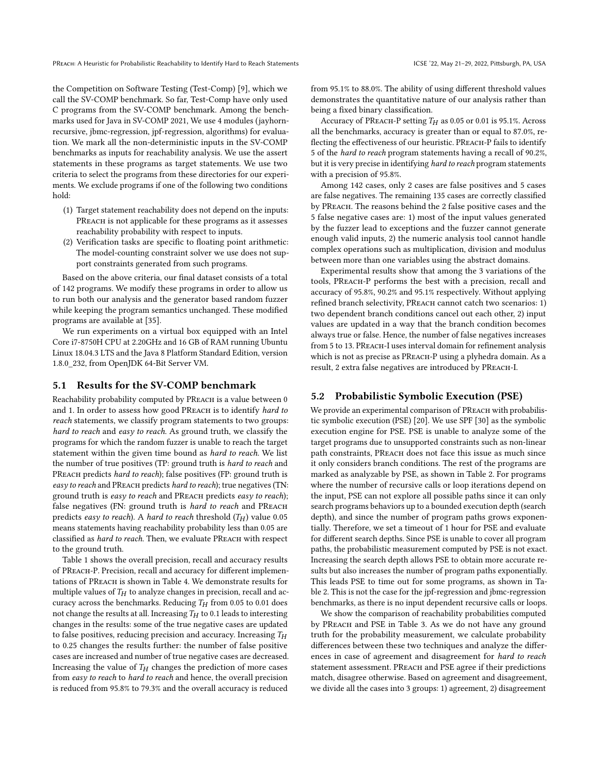the Competition on Software Testing (Test-Comp) [9], which we call the SV-COMP benchmark. So far, Test-Comp have only used C programs from the SV-COMP benchmark. Among the benchmarks used for Java in SV-COMP 2021, We use 4 modules (jayhornrecursive, jbmc-regression, jpf-regression, algorithms) for evaluation. We mark all the non-deterministic inputs in the SV-COMP benchmarks as inputs for reachability analysis. We use the assert statements in these programs as target statements. We use two criteria to select the programs from these directories for our experiments. We exclude programs if one of the following two conditions hold:

- (1) Target statement reachability does not depend on the inputs: PREACH is not applicable for these programs as it assesses reachability probability with respect to inputs.
- (2) Verification tasks are specific to floating point arithmetic: The model-counting constraint solver we use does not support constraints generated from such programs.

Based on the above criteria, our final dataset consists of a total of 142 programs. We modify these programs in order to allow us to run both our analysis and the generator based random fuzzer while keeping the program semantics unchanged. These modified programs are available at [35].

We run experiments on a virtual box equipped with an Intel Core i7-8750H CPU at 2.20GHz and 16 GB of RAM running Ubuntu Linux 18.04.3 LTS and the Java 8 Platform Standard Edition, version 1.8.0\_232, from OpenJDK 64-Bit Server VM.

#### 5.1 Results for the SV-COMP benchmark

Reachability probability computed by PREACH is a value between 0 and 1. In order to assess how good PReach is to identify hard to reach statements, we classify program statements to two groups: hard to reach and easy to reach. As ground truth, we classify the programs for which the random fuzzer is unable to reach the target statement within the given time bound as hard to reach. We list the number of true positives (TP: ground truth is hard to reach and PREACH predicts hard to reach); false positives (FP: ground truth is easy to reach and PREACH predicts hard to reach); true negatives (TN: ground truth is easy to reach and PREACH predicts easy to reach); false negatives (FN: ground truth is hard to reach and PREACH predicts easy to reach). A hard to reach threshold  $(T_H)$  value 0.05 means statements having reachability probability less than 0.05 are classified as hard to reach. Then, we evaluate PREACH with respect to the ground truth.

Table 1 shows the overall precision, recall and accuracy results of PReach-P. Precision, recall and accuracy for different implementations of PReach is shown in Table 4. We demonstrate results for multiple values of  $T_H$  to analyze changes in precision, recall and accuracy across the benchmarks. Reducing  $T_H$  from 0.05 to 0.01 does not change the results at all. Increasing  $T_H$  to 0.1 leads to interesting changes in the results: some of the true negative cases are updated to false positives, reducing precision and accuracy. Increasing  $T_H$ to 0.25 changes the results further: the number of false positive cases are increased and number of true negative cases are decreased. Increasing the value of  $T_H$  changes the prediction of more cases from easy to reach to hard to reach and hence, the overall precision is reduced from 95.8% to 79.3% and the overall accuracy is reduced

from 95.1% to 88.0%. The ability of using different threshold values demonstrates the quantitative nature of our analysis rather than being a fixed binary classification.

Accuracy of PREACH-P setting  $T_H$  as 0.05 or 0.01 is 95.1%. Across all the benchmarks, accuracy is greater than or equal to 87.0%, reflecting the effectiveness of our heuristic. PReach-P fails to identify 5 of the hard to reach program statements having a recall of 90.2%, but it is very precise in identifying hard to reach program statements with a precision of 95.8%.

Among 142 cases, only 2 cases are false positives and 5 cases are false negatives. The remaining 135 cases are correctly classified by PReach. The reasons behind the 2 false positive cases and the 5 false negative cases are: 1) most of the input values generated by the fuzzer lead to exceptions and the fuzzer cannot generate enough valid inputs, 2) the numeric analysis tool cannot handle complex operations such as multiplication, division and modulus between more than one variables using the abstract domains.

Experimental results show that among the 3 variations of the tools, PReach-P performs the best with a precision, recall and accuracy of 95.8%, 90.2% and 95.1% respectively. Without applying refined branch selectivity, PREACH cannot catch two scenarios: 1) two dependent branch conditions cancel out each other, 2) input values are updated in a way that the branch condition becomes always true or false. Hence, the number of false negatives increases from 5 to 13. PReach-I uses interval domain for refinement analysis which is not as precise as PREACH-P using a plyhedra domain. As a result, 2 extra false negatives are introduced by PReach-I.

#### 5.2 Probabilistic Symbolic Execution (PSE)

We provide an experimental comparison of PREACH with probabilistic symbolic execution (PSE) [20]. We use SPF [30] as the symbolic execution engine for PSE. PSE is unable to analyze some of the target programs due to unsupported constraints such as non-linear path constraints, PREACH does not face this issue as much since it only considers branch conditions. The rest of the programs are marked as analyzable by PSE, as shown in Table 2. For programs where the number of recursive calls or loop iterations depend on the input, PSE can not explore all possible paths since it can only search programs behaviors up to a bounded execution depth (search depth), and since the number of program paths grows exponentially. Therefore, we set a timeout of 1 hour for PSE and evaluate for different search depths. Since PSE is unable to cover all program paths, the probabilistic measurement computed by PSE is not exact. Increasing the search depth allows PSE to obtain more accurate results but also increases the number of program paths exponentially. This leads PSE to time out for some programs, as shown in Table 2. This is not the case for the jpf-regression and jbmc-regression benchmarks, as there is no input dependent recursive calls or loops.

We show the comparison of reachability probabilities computed by PReach and PSE in Table 3. As we do not have any ground truth for the probability measurement, we calculate probability differences between these two techniques and analyze the differences in case of agreement and disagreement for hard to reach statement assessment. PREACH and PSE agree if their predictions match, disagree otherwise. Based on agreement and disagreement, we divide all the cases into 3 groups: 1) agreement, 2) disagreement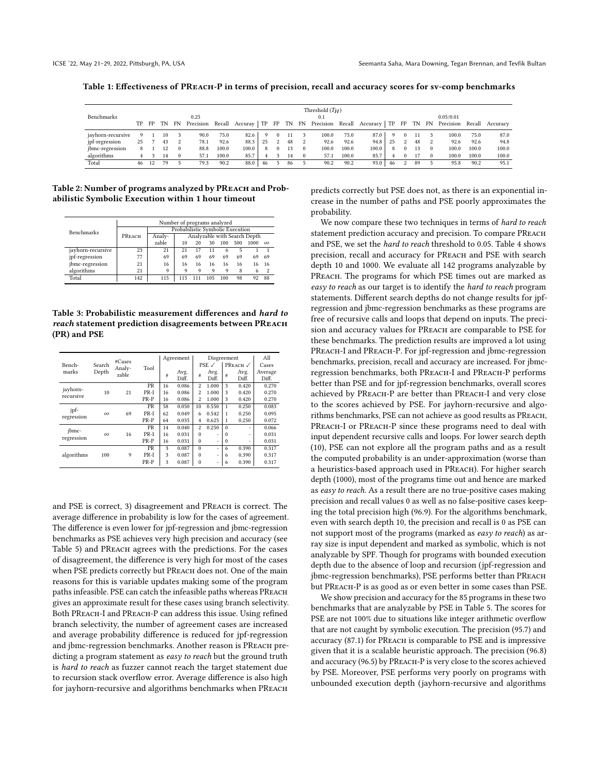| Table 1: Effectiveness of PREACH-P in terms of precision, recall and accuracy scores for sy-comp benchmarks |  |  |
|-------------------------------------------------------------------------------------------------------------|--|--|
|                                                                                                             |  |  |
|                                                                                                             |  |  |

| Benchmarks        | TP. |     | FP TN |          | 0.25 |       |       |    |                |    |              | Threshold $(T_H)$<br>0.1 |       | FN Precision Recall Accuray TP FP TN FN Precision Recall Accuracy TP FP TN FN Precision Recall Accuracy |          |            |    |              | 0.05/0.01 |       |       |
|-------------------|-----|-----|-------|----------|------|-------|-------|----|----------------|----|--------------|--------------------------|-------|---------------------------------------------------------------------------------------------------------|----------|------------|----|--------------|-----------|-------|-------|
|                   |     |     |       |          |      |       |       |    |                |    |              |                          |       |                                                                                                         |          |            |    |              |           |       |       |
| jayhorn-recursive | 9   |     | 10    |          | 90.0 | 75.0  | 82.6  | 0  | $\Omega$       | 11 |              | 100.0                    | 75.0  | 87.0                                                                                                    | $\Omega$ | $^{\circ}$ |    |              | 100.0     | 75.0  | 87.0  |
| jpf-regression    | 25  |     | 43    | 2        | 78.1 | 92.6  | 88.3  | 25 | $\mathfrak{D}$ | 48 | $\mathbf{2}$ | 92.6                     | 92.6  | 94.8                                                                                                    | 25       | 2          | 48 | $\mathbf{2}$ | 92.6      | 92.6  | 94.8  |
| jbmc-regression   | 8   |     |       | $\Omega$ | 88.8 | 100.0 | 100.0 | 8  | $^{0}$         | 13 | $\Omega$     | 100.0                    | 100.0 | 100.0                                                                                                   | 8        |            | 13 | $\Omega$     | 100.0     | 100.0 | 100.0 |
| algorithms        | 4   |     | 14    | $\Omega$ | 57.1 | 100.0 | 85.7  |    |                | 14 | $\Omega$     | 57.1                     | 100.0 | 85.7                                                                                                    |          |            |    | $\Omega$     | 100.0     | 100.0 | 100.0 |
| Total             | 46  | -12 | 79    |          | 79.3 | 90.2  | 88.0  | 46 |                | 86 |              | 90.2                     | 90.2  | 93.0                                                                                                    | 46       |            | 89 |              | 95.8      | 90.2  | 95.1  |

Table 2: Number of programs analyzed by PREACH and Probabilistic Symbolic Execution within 1 hour timeout

|                   | Number of programs analyzed<br>Probabilistic Symbolic Execution |        |     |    |     |     |     |                              |          |  |  |  |  |
|-------------------|-----------------------------------------------------------------|--------|-----|----|-----|-----|-----|------------------------------|----------|--|--|--|--|
| <b>Benchmarks</b> |                                                                 |        |     |    |     |     |     |                              |          |  |  |  |  |
|                   | PREACH                                                          | Analy- |     |    |     |     |     | Analyzable with Search Depth |          |  |  |  |  |
|                   |                                                                 | zable  | 10  | 20 | 30  | 100 | 500 | 1000                         | $\infty$ |  |  |  |  |
| jayhorn-recursive | 23                                                              | 21     | 21  | 17 | 11  | 6   |     |                              |          |  |  |  |  |
| jpf-regression    | 77                                                              | 69     | 69  | 69 | 69  | 69  | 69  | 69                           | 69       |  |  |  |  |
| jbmc-regression   | 21                                                              | 16     | 16  | 16 | 16  | 16  | 16  | 16                           | 16       |  |  |  |  |
| algorithms        | 21                                                              | 9      | 9   | 9  | Q   | 9   | 8   | 6                            |          |  |  |  |  |
| Total             | 142                                                             | 115    | 115 |    | 105 | 100 | 98  | 92                           | 88       |  |  |  |  |
|                   |                                                                 |        |     |    |     |     |     |                              |          |  |  |  |  |

Table 3: Probabilistic measurement differences and hard to reach statement prediction disagreements between PReach (PR) and PSE

| Bench-     | Search   | #Cases<br>Analy- | Tool   |    | Agreement     |                         | Disgreement<br>$PSE \checkmark$ |          | PREACH √      | All<br>Cases     |
|------------|----------|------------------|--------|----|---------------|-------------------------|---------------------------------|----------|---------------|------------------|
| marks      | Depth    | zable            |        | #  | Avg.<br>Diff. | #                       | Avg.<br>Diff.                   | #        | Avg.<br>Diff. | Average<br>Diff. |
| jayhorn-   |          |                  | PR     | 16 | 0.086         | $\overline{2}$          | 1.000                           | 3        | 0.420         | 0.270            |
| recursive  | 10       | 21               | PR-I   | 16 | 0.086         | $\overline{\mathbf{2}}$ | 1.000                           | 3        | 0.420         | 0.270            |
|            |          |                  | $PR-P$ | 16 | 0.086         | $\overline{\mathbf{2}}$ | 1.000                           | 3        | 0.420         | 0.270            |
| jpf-       |          |                  | PR     | 58 | 0.050         | 10                      | 0.550                           | 1        | 0.250         | 0.083            |
|            | $\infty$ | 69               | PR-I   | 62 | 0.049         | 6                       | 0.542                           | 1        | 0.250         | 0.095            |
| regression |          |                  | PR-P   | 64 | 0.035         | $\overline{4}$          | 0.625                           | 1        | 0.250         | 0.072            |
| jbmc-      |          |                  | PR     | 14 | 0.040         | $\overline{c}$          | 0.250                           | $\Omega$ | ٠             | 0.066            |
|            | $\infty$ | 16               | PR-I   | 16 | 0.031         | $\Omega$                | ٠                               | $\Omega$ | ٠             | 0.031            |
| regression |          |                  | $PR-P$ | 16 | 0.031         | $\theta$                | ٠                               | $\Omega$ | ٠             | 0.031            |
|            |          |                  | PR     | 3  | 0.087         | $\theta$                | ٠                               | 6        | 0.390         | 0.317            |
| algorithms | 100      | 9                | PR-I   | 3  | 0.087         | $\Omega$                | ٠                               | 6        | 0.390         | 0.317            |
|            |          |                  | PR-P   | 3  | 0.087         | $\Omega$                | ٠                               | 6        | 0.390         | 0.317            |

and PSE is correct, 3) disagreement and PREACH is correct. The average difference in probability is low for the cases of agreement. The difference is even lower for jpf-regression and jbmc-regression benchmarks as PSE achieves very high precision and accuracy (see Table 5) and PREACH agrees with the predictions. For the cases of disagreement, the difference is very high for most of the cases when PSE predicts correctly but PREACH does not. One of the main reasons for this is variable updates making some of the program paths infeasible. PSE can catch the infeasible paths whereas PReach gives an approximate result for these cases using branch selectivity. Both PREACH-I and PREACH-P can address this issue. Using refined branch selectivity, the number of agreement cases are increased and average probability difference is reduced for jpf-regression and jbmc-regression benchmarks. Another reason is PReach predicting a program statement as easy to reach but the ground truth is hard to reach as fuzzer cannot reach the target statement due to recursion stack overflow error. Average difference is also high for jayhorn-recursive and algorithms benchmarks when PReach

predicts correctly but PSE does not, as there is an exponential increase in the number of paths and PSE poorly approximates the probability.

We now compare these two techniques in terms of hard to reach statement prediction accuracy and precision. To compare PReach and PSE, we set the hard to reach threshold to 0.05. Table 4 shows precision, recall and accuracy for PReach and PSE with search depth 10 and 1000. We evaluate all 142 programs analyzable by PREACH. The programs for which PSE times out are marked as easy to reach as our target is to identify the hard to reach program statements. Different search depths do not change results for jpfregression and jbmc-regression benchmarks as these programs are free of recursive calls and loops that depend on inputs. The precision and accuracy values for PREACH are comparable to PSE for these benchmarks. The prediction results are improved a lot using PREACH-I and PREACH-P. For jpf-regression and jbmc-regression benchmarks, precision, recall and accuracy are increased. For jbmcregression benchmarks, both PReach-I and PReach-P performs better than PSE and for jpf-regression benchmarks, overall scores achieved by PReach-P are better than PReach-I and very close to the scores achieved by PSE. For jayhorn-recursive and algorithms benchmarks, PSE can not achieve as good results as PReach, PREACH-I or PREACH-P since these programs need to deal with input dependent recursive calls and loops. For lower search depth (10), PSE can not explore all the program paths and as a result the computed probability is an under-approximation (worse than a heuristics-based approach used in PReach). For higher search depth (1000), most of the programs time out and hence are marked as easy to reach. As a result there are no true-positive cases making precision and recall values 0 as well as no false-positive cases keeping the total precision high (96.9). For the algorithms benchmark, even with search depth 10, the precision and recall is 0 as PSE can not support most of the programs (marked as easy to reach) as array size is input dependent and marked as symbolic, which is not analyzable by SPF. Though for programs with bounded execution depth due to the absence of loop and recursion (jpf-regression and jbmc-regression benchmarks), PSE performs better than PReach but PREACH-P is as good as or even better in some cases than PSE.

We show precision and accuracy for the 85 programs in these two benchmarks that are analyzable by PSE in Table 5. The scores for PSE are not 100% due to situations like integer arithmetic overflow that are not caught by symbolic execution. The precision (95.7) and accuracy (87.1) for PREACH is comparable to PSE and is impressive given that it is a scalable heuristic approach. The precision (96.8) and accuracy (96.5) by PReach-P is very close to the scores achieved by PSE. Moreover, PSE performs very poorly on programs with unbounded execution depth (jayhorn-recursive and algorithms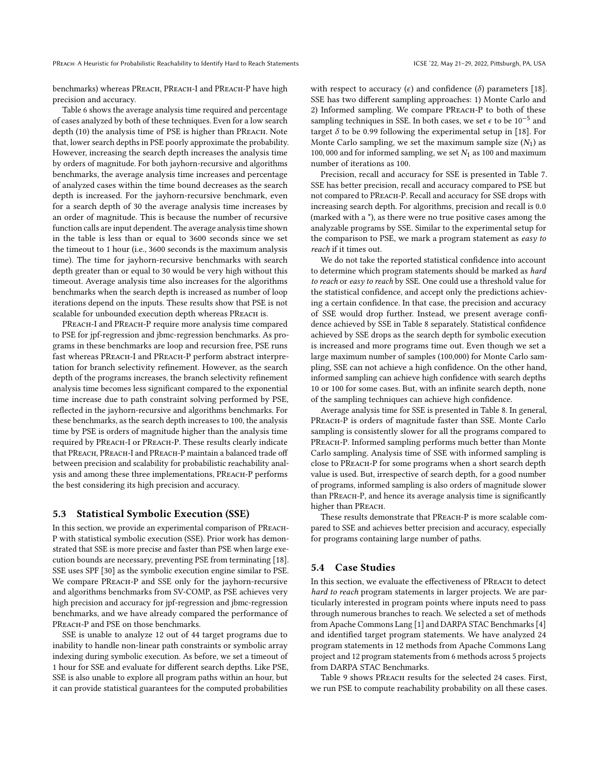benchmarks) whereas PREACH, PREACH-I and PREACH-P have high precision and accuracy.

Table 6 shows the average analysis time required and percentage of cases analyzed by both of these techniques. Even for a low search depth (10) the analysis time of PSE is higher than PReach. Note that, lower search depths in PSE poorly approximate the probability. However, increasing the search depth increases the analysis time by orders of magnitude. For both jayhorn-recursive and algorithms benchmarks, the average analysis time increases and percentage of analyzed cases within the time bound decreases as the search depth is increased. For the jayhorn-recursive benchmark, even for a search depth of 30 the average analysis time increases by an order of magnitude. This is because the number of recursive function calls are input dependent. The average analysis time shown in the table is less than or equal to 3600 seconds since we set the timeout to 1 hour (i.e., 3600 seconds is the maximum analysis time). The time for jayhorn-recursive benchmarks with search depth greater than or equal to 30 would be very high without this timeout. Average analysis time also increases for the algorithms benchmarks when the search depth is increased as number of loop iterations depend on the inputs. These results show that PSE is not scalable for unbounded execution depth whereas PREACH is.

PREACH-I and PREACH-P require more analysis time compared to PSE for jpf-regression and jbmc-regression benchmarks. As programs in these benchmarks are loop and recursion free, PSE runs fast whereas PReach-I and PReach-P perform abstract interpretation for branch selectivity refinement. However, as the search depth of the programs increases, the branch selectivity refinement analysis time becomes less significant compared to the exponential time increase due to path constraint solving performed by PSE, reflected in the jayhorn-recursive and algorithms benchmarks. For these benchmarks, as the search depth increases to 100, the analysis time by PSE is orders of magnitude higher than the analysis time required by PReach-I or PReach-P. These results clearly indicate that PREACH, PREACH-I and PREACH-P maintain a balanced trade off between precision and scalability for probabilistic reachability analysis and among these three implementations, PReach-P performs the best considering its high precision and accuracy.

#### 5.3 Statistical Symbolic Execution (SSE)

In this section, we provide an experimental comparison of PReach-P with statistical symbolic execution (SSE). Prior work has demonstrated that SSE is more precise and faster than PSE when large execution bounds are necessary, preventing PSE from terminating [18]. SSE uses SPF [30] as the symbolic execution engine similar to PSE. We compare PREACH-P and SSE only for the jayhorn-recursive and algorithms benchmarks from SV-COMP, as PSE achieves very high precision and accuracy for jpf-regression and jbmc-regression benchmarks, and we have already compared the performance of PREACH-P and PSE on those benchmarks.

SSE is unable to analyze 12 out of 44 target programs due to inability to handle non-linear path constraints or symbolic array indexing during symbolic execution. As before, we set a timeout of 1 hour for SSE and evaluate for different search depths. Like PSE, SSE is also unable to explore all program paths within an hour, but it can provide statistical guarantees for the computed probabilities

with respect to accuracy ( $\epsilon$ ) and confidence ( $\delta$ ) parameters [18]. SSE has two different sampling approaches: 1) Monte Carlo and 2) Informed sampling. We compare PREACH-P to both of these sampling techniques in SSE. In both cases, we set  $\epsilon$  to be 10<sup>-5</sup> and target  $\delta$  to be 0.99 following the experimental setup in [18]. For Monte Carlo sampling, we set the maximum sample size  $(N_1)$  as 100, 000 and for informed sampling, we set  $N_1$  as 100 and maximum number of iterations as 100.

Precision, recall and accuracy for SSE is presented in Table 7. SSE has better precision, recall and accuracy compared to PSE but not compared to PReach-P. Recall and accuracy for SSE drops with increasing search depth. For algorithms, precision and recall is 0.0 (marked with a \*), as there were no true positive cases among the analyzable programs by SSE. Similar to the experimental setup for the comparison to PSE, we mark a program statement as easy to reach if it times out.

We do not take the reported statistical confidence into account to determine which program statements should be marked as hard to reach or easy to reach by SSE. One could use a threshold value for the statistical confidence, and accept only the predictions achieving a certain confidence. In that case, the precision and accuracy of SSE would drop further. Instead, we present average confidence achieved by SSE in Table 8 separately. Statistical confidence achieved by SSE drops as the search depth for symbolic execution is increased and more programs time out. Even though we set a large maximum number of samples (100,000) for Monte Carlo sampling, SSE can not achieve a high confidence. On the other hand, informed sampling can achieve high confidence with search depths 10 or 100 for some cases. But, with an infinite search depth, none of the sampling techniques can achieve high confidence.

Average analysis time for SSE is presented in Table 8. In general, PREACH-P is orders of magnitude faster than SSE. Monte Carlo sampling is consistently slower for all the programs compared to PREACH-P. Informed sampling performs much better than Monte Carlo sampling. Analysis time of SSE with informed sampling is close to PReach-P for some programs when a short search depth value is used. But, irrespective of search depth, for a good number of programs, informed sampling is also orders of magnitude slower than PREACH-P, and hence its average analysis time is significantly higher than PREACH.

These results demonstrate that PREACH-P is more scalable compared to SSE and achieves better precision and accuracy, especially for programs containing large number of paths.

#### 5.4 Case Studies

In this section, we evaluate the effectiveness of PReach to detect hard to reach program statements in larger projects. We are particularly interested in program points where inputs need to pass through numerous branches to reach. We selected a set of methods from Apache Commons Lang [1] and DARPA STAC Benchmarks [4] and identified target program statements. We have analyzed 24 program statements in 12 methods from Apache Commons Lang project and 12 program statements from 6 methods across 5 projects from DARPA STAC Benchmarks.

Table 9 shows PREACH results for the selected 24 cases. First, we run PSE to compute reachability probability on all these cases.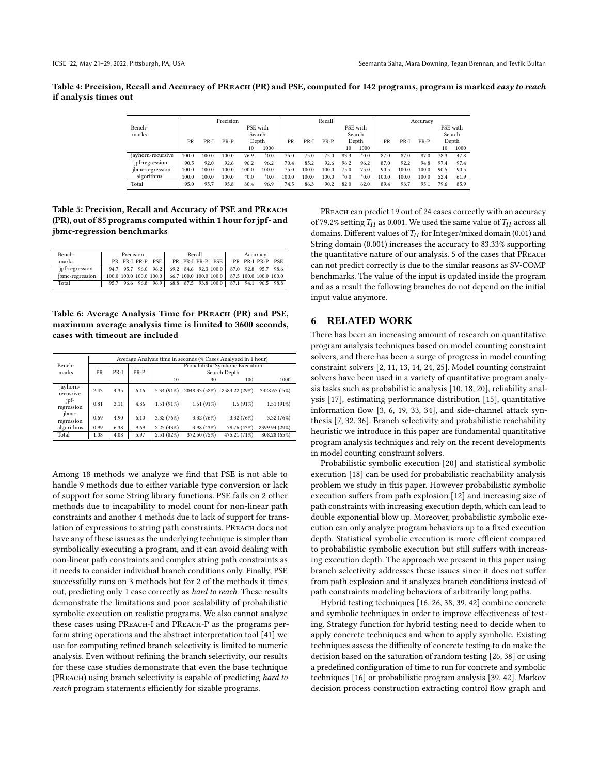Table 4: Precision, Recall and Accuracy of PREACH (PR) and PSE, computed for 142 programs, program is marked easy to reach if analysis times out

|                   |       | Precision |        |           |           | Recall |        |        |           |            | Accuracy |        |        |      |          |
|-------------------|-------|-----------|--------|-----------|-----------|--------|--------|--------|-----------|------------|----------|--------|--------|------|----------|
| Bench-            |       |           |        |           | PSE with  |        |        |        |           | PSE with   |          |        |        |      | PSE with |
| marks             |       |           |        |           | Search    |        |        |        |           | Search     |          |        |        |      | Search   |
|                   | PR    | $PR-I$    | $PR-P$ |           | Depth     | PR     | $PR-I$ | $PR-P$ |           | Depth      | PR       | $PR-I$ | $PR-P$ |      | Depth    |
|                   |       |           |        | 10        | 1000      |        |        |        | 10        | 1000       |          |        |        | 10   | 1000     |
| jayhorn-recursive | 100.0 | 100.0     | 100.0  | 76.9      | $*_{0.0}$ | 75.0   | 75.0   | 75.0   | 83.3      | $*_{0.0}$  | 87.0     | 87.0   | 87.0   | 78.3 | 47.8     |
| jpf-regression    | 90.5  | 92.0      | 92.6   | 96.2      | 96.2      | 70.4   | 85.2   | 92.6   | 96.2      | 96.2       | 87.0     | 92.2   | 94.8   | 97.4 | 97.4     |
| jbmc-regression   | 100.0 | 100.0     | 100.0  | 100.0     | 100.0     | 75.0   | 100.0  | 100.0  | 75.0      | 75.0       | 90.5     | 100.0  | 100.0  | 90.5 | 90.5     |
| algorithms        | 100.0 | 100.0     | 100.0  | $*_{0.0}$ | $*_{0.0}$ | 100.0  | 100.0  | 100.0  | $*_{0.0}$ | $*_{0.0*}$ | 100.0    | 100.0  | 100.0  | 52.4 | 61.9     |
| Total             | 95.0  | 95.7      | 95.8   | 80.4      | 96.9      | 74.5   | 86.3   | 90.2   | 82.0      | 62.0       | 89.4     | 93.7   | 95.1   | 79.6 | 85.9     |

Table 5: Precision, Recall and Accuracy of PSE and PReach (PR), out of 85 programs computed within 1 hour for jpf- and jbmc-regression benchmarks

| Bench-          | Precision |  |                                                                       | Recall |  | Accuracy                          |  |  |  |  |
|-----------------|-----------|--|-----------------------------------------------------------------------|--------|--|-----------------------------------|--|--|--|--|
| marks           |           |  | PR PR-I PR-P PSE                                                      |        |  | PR PR-I PR-P PSE PR PR-I PR-P PSE |  |  |  |  |
| jpf-regression  |           |  | 94.7 95.7 96.0 96.2 69.2 84.6 92.3 100.0 87.0 92.8 95.7 98.6          |        |  |                                   |  |  |  |  |
| jbmc-regression |           |  | 100.0 100.0 100.0 100.0 66.7 100.0 100.0 100.0 87.5 100.0 100.0 100.0 |        |  |                                   |  |  |  |  |
| Total           |           |  | 95.7 96.6 96.8 96.9 68.8 87.5 93.8 100.0 87.1 94.1 96.5 98.8          |        |  |                                   |  |  |  |  |

Table 6: Average Analysis Time for PREACH (PR) and PSE, maximum average analysis time is limited to 3600 seconds, cases with timeout are included

|                       | Average Analysis time in seconds (% Cases Analyzed in 1 hour) |      |      |            |               |                                  |               |  |  |  |  |  |  |
|-----------------------|---------------------------------------------------------------|------|------|------------|---------------|----------------------------------|---------------|--|--|--|--|--|--|
| Bench-                |                                                               |      |      |            |               | Probabilistic Symbolic Execution |               |  |  |  |  |  |  |
| marks                 | PR                                                            | PR-I | PR-P |            |               | Search Depth                     |               |  |  |  |  |  |  |
|                       |                                                               |      |      | 10         | 30            | 100                              | 1000          |  |  |  |  |  |  |
| jayhorn-<br>recusrive | 2.43                                                          | 4.35 | 6.16 | 5.34 (91%) | 2048.33 (52%) | 2583.22 (29%)                    | 3428.67 (5%)  |  |  |  |  |  |  |
| jpf-<br>regression    | 0.81                                                          | 3.11 | 4.86 | 1.51(91%)  | 1.51(91%)     | $1.5(91\%)$                      | 1.51(91%)     |  |  |  |  |  |  |
| jbmc-<br>regression   | 0.69                                                          | 4.90 | 6.10 | 3.32 (76%) | 3.32(76%)     | 3.32 (76%)                       | 3.32 (76%)    |  |  |  |  |  |  |
| algorithms            | 0.99                                                          | 6.38 | 9.69 | 2.25(43%)  | 3.98(43%)     | 79.76 (43%)                      | 2399.94 (29%) |  |  |  |  |  |  |
| Total                 | 1.08                                                          | 4.08 | 5.97 | 2.51(82%)  | 372.50 (75%)  | 475.21 (71%)                     | 808.28 (65%)  |  |  |  |  |  |  |

Among 18 methods we analyze we find that PSE is not able to handle 9 methods due to either variable type conversion or lack of support for some String library functions. PSE fails on 2 other methods due to incapability to model count for non-linear path constraints and another 4 methods due to lack of support for translation of expressions to string path constraints. PREACH does not have any of these issues as the underlying technique is simpler than symbolically executing a program, and it can avoid dealing with non-linear path constraints and complex string path constraints as it needs to consider individual branch conditions only. Finally, PSE successfully runs on 3 methods but for 2 of the methods it times out, predicting only 1 case correctly as hard to reach. These results demonstrate the limitations and poor scalability of probabilistic symbolic execution on realistic programs. We also cannot analyze these cases using PReach-I and PReach-P as the programs perform string operations and the abstract interpretation tool [41] we use for computing refined branch selectivity is limited to numeric analysis. Even without refining the branch selectivity, our results for these case studies demonstrate that even the base technique (PREACH) using branch selectivity is capable of predicting hard to reach program statements efficiently for sizable programs.

PREACH can predict 19 out of 24 cases correctly with an accuracy of 79.2% setting  $T_H$  as 0.001. We used the same value of  $T_H$  across all domains. Different values of  $T_H$  for Integer/mixed domain (0.01) and String domain (0.001) increases the accuracy to 83.33% supporting the quantitative nature of our analysis. 5 of the cases that PReach can not predict correctly is due to the similar reasons as SV-COMP benchmarks. The value of the input is updated inside the program and as a result the following branches do not depend on the initial input value anymore.

## 6 RELATED WORK

There has been an increasing amount of research on quantitative program analysis techniques based on model counting constraint solvers, and there has been a surge of progress in model counting constraint solvers [2, 11, 13, 14, 24, 25]. Model counting constraint solvers have been used in a variety of quantitative program analysis tasks such as probabilistic analysis [10, 18, 20], reliability analysis [17], estimating performance distribution [15], quantitative information flow [3, 6, 19, 33, 34], and side-channel attack synthesis [7, 32, 36]. Branch selectivity and probabilistic reachability heuristic we introduce in this paper are fundamental quantitative program analysis techniques and rely on the recent developments in model counting constraint solvers.

Probabilistic symbolic execution [20] and statistical symbolic execution [18] can be used for probabilistic reachability analysis problem we study in this paper. However probabilistic symbolic execution suffers from path explosion [12] and increasing size of path constraints with increasing execution depth, which can lead to double exponential blow up. Moreover, probabilistic symbolic execution can only analyze program behaviors up to a fixed execution depth. Statistical symbolic execution is more efficient compared to probabilistic symbolic execution but still suffers with increasing execution depth. The approach we present in this paper using branch selectivity addresses these issues since it does not suffer from path explosion and it analyzes branch conditions instead of path constraints modeling behaviors of arbitrarily long paths.

Hybrid testing techniques [16, 26, 38, 39, 42] combine concrete and symbolic techniques in order to improve effectiveness of testing. Strategy function for hybrid testing need to decide when to apply concrete techniques and when to apply symbolic. Existing techniques assess the difficulty of concrete testing to do make the decision based on the saturation of random testing [26, 38] or using a predefined configuration of time to run for concrete and symbolic techniques [16] or probabilistic program analysis [39, 42]. Markov decision process construction extracting control flow graph and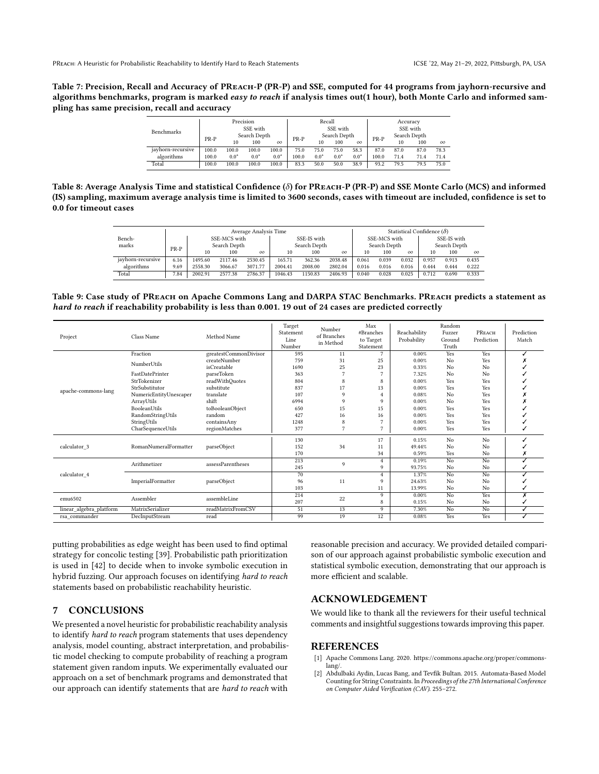Table 7: Precision, Recall and Accuracy of PREACH-P (PR-P) and SSE, computed for 44 programs from jayhorn-recursive and algorithms benchmarks, program is marked easy to reach if analysis times out(1 hour), both Monte Carlo and informed sampling has same precision, recall and accuracy

| <b>Benchmarks</b> |                      |        | Precision<br>SSE with |          |              | Recall | SSE with |          |              | Accuracy<br>SSE with |      |          |  |  |
|-------------------|----------------------|--------|-----------------------|----------|--------------|--------|----------|----------|--------------|----------------------|------|----------|--|--|
|                   | Search Depth<br>PR-P |        |                       | $PR-P$   | Search Depth |        |          |          | Search Depth |                      |      |          |  |  |
|                   |                      | 10     | 100                   | $\infty$ |              | 10     | 100      | $\infty$ | PR-P         | 10                   | 100  | $\infty$ |  |  |
| jayhorn-recursive | 100.0                | 100.0  | 100.0                 | 100.0    | 75.0         | 75.0   | 75.0     | 58.3     | 87.0         | 87.0                 | 87.0 | 78.3     |  |  |
| algorithms        | 100.0                | $0.0*$ | $0.0*$                | $0.0*$   | 100.0        | $0.0*$ | $0.0*$   | $0.0*$   | 100.0        | 71.4                 | 71.4 | 71.4     |  |  |
| Total             | 100.0                | 100.0  | 100.0                 | 100.0    | 83.3         | 50.0   | 50.0     | 38.9     | 93.2         | 79.5                 | 79.5 | 75.0     |  |  |

Table 8: Average Analysis Time and statistical Confidence ( $\delta$ ) for PREACH-P (PR-P) and SSE Monte Carlo (MCS) and informed (IS) sampling, maximum average analysis time is limited to 3600 seconds, cases with timeout are included, confidence is set to 0.0 for timeout cases

|                   | Statistical Confidence $(\delta)$ |         |              |          |         |              |          |       |              |          |              |             |          |
|-------------------|-----------------------------------|---------|--------------|----------|---------|--------------|----------|-------|--------------|----------|--------------|-------------|----------|
| Bench-            |                                   |         | SSE-MCS with |          |         | SSE-IS with  |          |       | SSE-MCS with |          |              | SSE-IS with |          |
| marks             | $PR-P$                            |         | Search Depth |          |         | Search Depth |          |       | Search Depth |          | Search Depth |             |          |
|                   |                                   | 10      | 100          | $\infty$ | 10      | 100          | $\infty$ | 10    | 100          | $\infty$ | 10           | 100         | $\infty$ |
| jayhorn-recursive | 6.16                              | 1495.60 | 2117.46      | 2530.45  | 165.71  | 362.36       | 2038.48  | 0.061 | 0.039        | 0.032    | 0.957        | 0.913       | 0.435    |
| algorithms        | 9.69                              | 2558.30 | 3066.67      | 3071.77  | 2004.41 | 2008.00      | 2802.04  | 0.016 | 0.016        | 0.016    | 0.444        | 0.444       | 0.222    |
| Total             | 7.84                              | 2002.91 | 2577.38      | 2786.37  | 1046.43 | 1150.83      | 2406.93  | 0.040 | 0.028        | 0.025    | 0.712        | 0.690       | 0.333    |

Table 9: Case study of PREACH on Apache Commons Lang and DARPA STAC Benchmarks. PREACH predicts a statement as hard to reach if reachability probability is less than 0.001. 19 out of 24 cases are predicted correctly

| Project                 | Class Name             | Method Name           | Target<br>Statement<br>Line<br>Number | Number<br>of Branches<br>in Method | Max<br>#Branches<br>to Target<br>Statement | Reachability<br>Probability | Random<br>Fuzzer<br>Ground<br>Truth | PREACH<br>Prediction | Prediction<br>Match |
|-------------------------|------------------------|-----------------------|---------------------------------------|------------------------------------|--------------------------------------------|-----------------------------|-------------------------------------|----------------------|---------------------|
|                         | Fraction               | greatestCommonDivisor | 595                                   | 11                                 | 7                                          | 0.00%                       | Yes                                 | Yes                  |                     |
|                         | NumberUtils            | createNumber          | 759                                   | 31                                 | 25                                         | 0.00%                       | No                                  | Yes                  |                     |
|                         |                        | isCreatable           | 1690                                  | 25                                 | 23                                         | 0.33%                       | No                                  | No                   |                     |
|                         | FastDatePrinter        | parseToken            | 363                                   | $\overline{7}$                     | n                                          | 7.32%                       | No                                  | No                   |                     |
|                         | StrTokenizer           | readWithQuotes        | 804                                   | 8                                  | 8                                          | 0.00%                       | Yes                                 | Yes                  |                     |
|                         | StrSubstitutor         | substitute            | 837                                   | 17                                 | 13                                         | 0.00%                       | Yes                                 | Yes                  |                     |
| apache-commons-lang     | NumericEntityUnescaper | translate             | 107                                   | $\mathbf Q$                        | $\overline{4}$                             | 0.08%                       | No                                  | Yes                  |                     |
|                         | ArrayUtils             | shift                 | 6994                                  | 9                                  | 9                                          | 0.00%                       | No                                  | Yes                  |                     |
|                         | BooleanUtils           | toBooleanObject       | 650                                   | 15                                 | 15                                         | 0.00%                       | Yes                                 | Yes                  |                     |
|                         | RandomStringUtils      | random                | 427                                   | 16                                 | 16                                         | 0.00%                       | Yes                                 | Yes                  |                     |
|                         | StringUtils            | containsAny           | 1248                                  | 8                                  | n                                          | 0.00%                       | Yes                                 | Yes                  |                     |
|                         | CharSequenceUtils      | regionMatches         | 377                                   | $\overline{7}$                     | 7                                          | 0.00%                       | Yes                                 | Yes                  |                     |
|                         |                        |                       | 130                                   |                                    | 17                                         | 0.15%                       | No                                  | No                   |                     |
| calculator_3            | RomanNumeralFormatter  | parseObject           | 152                                   | 34                                 | 11                                         | 49.44%                      | No                                  | No                   |                     |
|                         |                        |                       | 170                                   |                                    | 34                                         | 0.59%                       | Yes                                 | No                   |                     |
|                         | Arithmetizer           | assessParentheses     | 213                                   |                                    | 4                                          | 0.19%                       | No                                  | No                   |                     |
|                         |                        |                       | 245                                   | 9                                  | 9                                          | 93.75%                      | No                                  | No                   |                     |
| calculator 4            |                        |                       | 70                                    |                                    | $\overline{4}$                             | 1.37%                       | No                                  | No                   |                     |
|                         | ImperialFormatter      | parseObject           | 96                                    | 11                                 | 9                                          | 24.63%                      | No                                  | No                   |                     |
|                         |                        |                       | 103                                   |                                    | 11                                         | 13.99%                      | No                                  | No                   |                     |
| emu6502                 | Assembler              | assembleLine          | 214                                   | 22                                 | 9                                          | 0.00%                       | No                                  | Yes                  | х                   |
|                         |                        |                       | 207                                   |                                    | 8                                          | 0.15%                       | No                                  | No                   |                     |
| linear_algebra_platform | MatrixSerializer       | readMatrixFromCSV     | 51                                    | 13                                 | 9                                          | 7.30%                       | No                                  | No                   |                     |
| rsa_commander           | DecInputStream         | read                  | 99                                    | 19                                 | 12                                         | 0.08%                       | Yes                                 | Yes                  |                     |

putting probabilities as edge weight has been used to find optimal strategy for concolic testing [39]. Probabilistic path prioritization is used in [42] to decide when to invoke symbolic execution in hybrid fuzzing. Our approach focuses on identifying hard to reach statements based on probabilistic reachability heuristic.

# 7 CONCLUSIONS

We presented a novel heuristic for probabilistic reachability analysis to identify hard to reach program statements that uses dependency analysis, model counting, abstract interpretation, and probabilistic model checking to compute probability of reaching a program statement given random inputs. We experimentally evaluated our approach on a set of benchmark programs and demonstrated that our approach can identify statements that are hard to reach with

reasonable precision and accuracy. We provided detailed comparison of our approach against probabilistic symbolic execution and statistical symbolic execution, demonstrating that our approach is more efficient and scalable.

# ACKNOWLEDGEMENT

We would like to thank all the reviewers for their useful technical comments and insightful suggestions towards improving this paper.

#### REFERENCES

- [1] Apache Commons Lang. 2020. https://commons.apache.org/proper/commonslang/.
- [2] Abdulbaki Aydin, Lucas Bang, and Tevfik Bultan. 2015. Automata-Based Model Counting for String Constraints. In Proceedings of the 27th International Conference on Computer Aided Verification (CAV). 255–272.